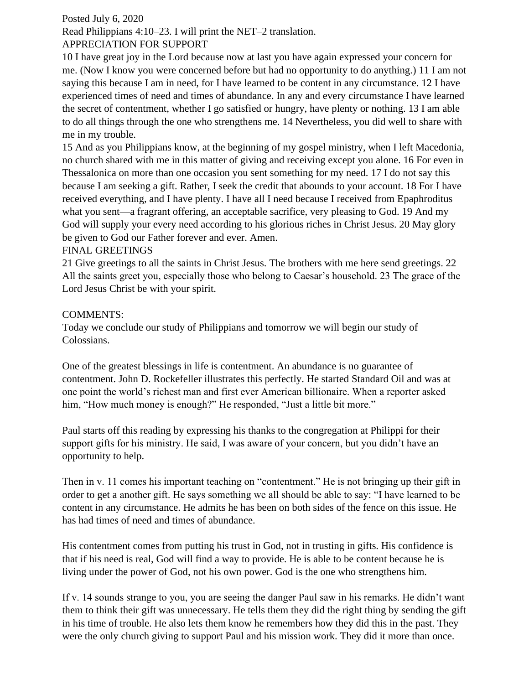## Posted July 6, 2020

Read Philippians 4:10–23. I will print the NET–2 translation.

## APPRECIATION FOR SUPPORT

10 I have great joy in the Lord because now at last you have again expressed your concern for me. (Now I know you were concerned before but had no opportunity to do anything.) 11 I am not saying this because I am in need, for I have learned to be content in any circumstance. 12 I have experienced times of need and times of abundance. In any and every circumstance I have learned the secret of contentment, whether I go satisfied or hungry, have plenty or nothing. 13 I am able to do all things through the one who strengthens me. 14 Nevertheless, you did well to share with me in my trouble.

15 And as you Philippians know, at the beginning of my gospel ministry, when I left Macedonia, no church shared with me in this matter of giving and receiving except you alone. 16 For even in Thessalonica on more than one occasion you sent something for my need. 17 I do not say this because I am seeking a gift. Rather, I seek the credit that abounds to your account. 18 For I have received everything, and I have plenty. I have all I need because I received from Epaphroditus what you sent—a fragrant offering, an acceptable sacrifice, very pleasing to God. 19 And my God will supply your every need according to his glorious riches in Christ Jesus. 20 May glory be given to God our Father forever and ever. Amen.

## FINAL GREETINGS

21 Give greetings to all the saints in Christ Jesus. The brothers with me here send greetings. 22 All the saints greet you, especially those who belong to Caesar's household. 23 The grace of the Lord Jesus Christ be with your spirit.

## COMMENTS:

Today we conclude our study of Philippians and tomorrow we will begin our study of Colossians.

One of the greatest blessings in life is contentment. An abundance is no guarantee of contentment. John D. Rockefeller illustrates this perfectly. He started Standard Oil and was at one point the world's richest man and first ever American billionaire. When a reporter asked him, "How much money is enough?" He responded, "Just a little bit more."

Paul starts off this reading by expressing his thanks to the congregation at Philippi for their support gifts for his ministry. He said, I was aware of your concern, but you didn't have an opportunity to help.

Then in v. 11 comes his important teaching on "contentment." He is not bringing up their gift in order to get a another gift. He says something we all should be able to say: "I have learned to be content in any circumstance. He admits he has been on both sides of the fence on this issue. He has had times of need and times of abundance.

His contentment comes from putting his trust in God, not in trusting in gifts. His confidence is that if his need is real, God will find a way to provide. He is able to be content because he is living under the power of God, not his own power. God is the one who strengthens him.

If v. 14 sounds strange to you, you are seeing the danger Paul saw in his remarks. He didn't want them to think their gift was unnecessary. He tells them they did the right thing by sending the gift in his time of trouble. He also lets them know he remembers how they did this in the past. They were the only church giving to support Paul and his mission work. They did it more than once.